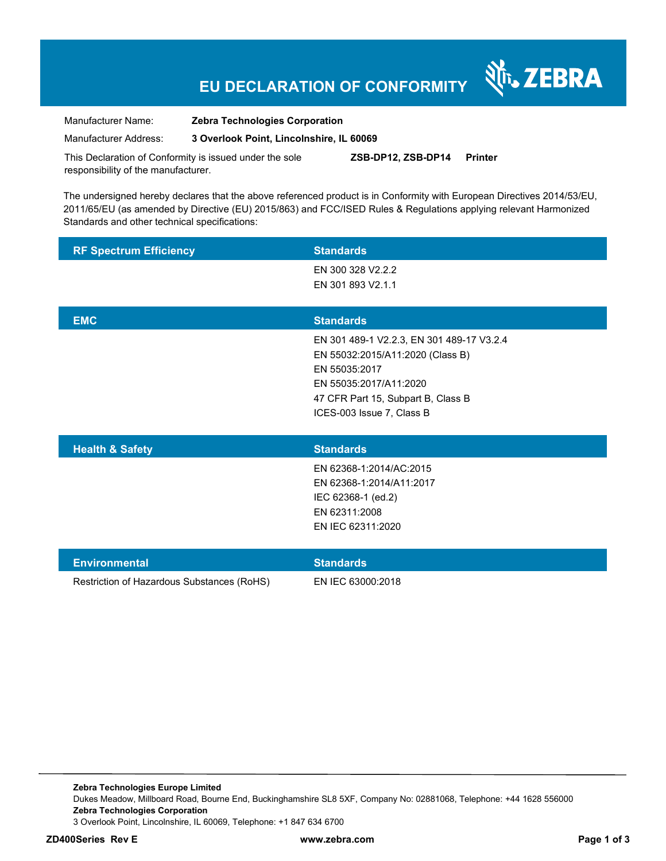## **EU DECLARATION OF CONFORMITY**

र्शे<sub>ि</sub> ZEBRA

Manufacturer Name: **Zebra Technologies Corporation** 

Manufacturer Address: **3 Overlook Point, Lincolnshire, IL 60069** 

This Declaration of Conformity is issued under the sole responsibility of the manufacturer. **ZSB-DP12, ZSB-DP14 Printer** 

The undersigned hereby declares that the above referenced product is in Conformity with European Directives 2014/53/EU, 2011/65/EU (as amended by Directive (EU) 2015/863) and FCC/ISED Rules & Regulations applying relevant Harmonized Standards and other technical specifications:

| <b>RF Spectrum Efficiency</b> | <b>Standards</b>                                                                                                                                                                            |
|-------------------------------|---------------------------------------------------------------------------------------------------------------------------------------------------------------------------------------------|
|                               | EN 300 328 V2.2.2<br>EN 301 893 V2.1.1                                                                                                                                                      |
| <b>EMC</b>                    | <b>Standards</b>                                                                                                                                                                            |
|                               | EN 301 489-1 V2.2.3, EN 301 489-17 V3.2.4<br>EN 55032:2015/A11:2020 (Class B)<br>EN 55035:2017<br>EN 55035:2017/A11:2020<br>47 CFR Part 15, Subpart B, Class B<br>ICES-003 Issue 7, Class B |
| <b>Health &amp; Safety</b>    | <b>Standards</b>                                                                                                                                                                            |
|                               | EN 62368-1:2014/AC:2015<br>EN 62368-1:2014/A11:2017<br>IEC 62368-1 (ed.2)<br>EN 62311:2008<br>EN IEC 62311:2020                                                                             |
| <b>Environmental</b>          | <b>Standards</b>                                                                                                                                                                            |

Restriction of Hazardous Substances (RoHS) EN IEC 63000:2018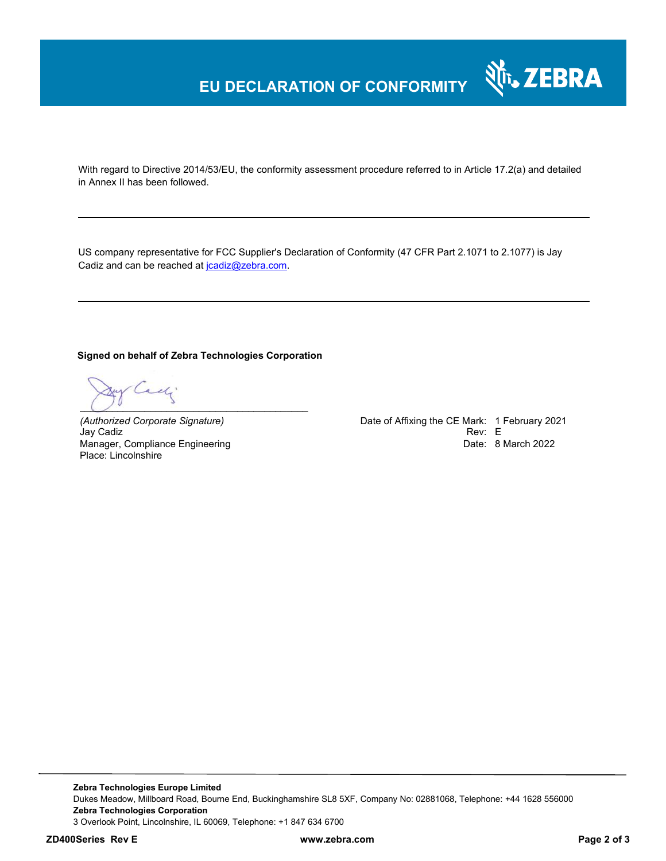## **EU DECLARATION OF CONFORMITY**

With regard to Directive 2014/53/EU, the conformity assessment procedure referred to in Article 17.2(a) and detailed in Annex II has been followed.

US company representative for FCC Supplier's Declaration of Conformity (47 CFR Part 2.1071 to 2.1077) is Jay Cadiz and can be reached at jcadiz@zebra.com.

#### **Signed on behalf of Zebra Technologies Corporation**

y Cadi  $\bigcup$   $\bigcup$   $\bigcup$   $\bigcup$   $\bigcup$   $\bigcup$   $\bigcup$   $\bigcup$   $\bigcup$   $\bigcup$   $\bigcup$   $\bigcup$   $\bigcup$   $\bigcup$   $\bigcup$   $\bigcup$   $\bigcup$   $\bigcup$   $\bigcup$   $\bigcup$   $\bigcup$   $\bigcup$   $\bigcup$   $\bigcup$   $\bigcup$   $\bigcup$   $\bigcup$   $\bigcup$   $\bigcup$   $\bigcup$   $\bigcup$   $\bigcup$   $\bigcup$   $\bigcup$   $\bigcup$   $\bigcup$   $\bigcup$ 

Jay Cadiz Manager, Compliance Engineering Place: Lincolnshire

*(Authorized Corporate Signature)* Date of Affixing the CE Mark: 1 February 2021 Date: 8 March 2022

Nr. ZEBRA

**Zebra Technologies Europe Limited**  Dukes Meadow, Millboard Road, Bourne End, Buckinghamshire SL8 5XF, Company No: 02881068, Telephone: +44 1628 556000 **Zebra Technologies Corporation**  3 Overlook Point, Lincolnshire, IL 60069, Telephone: +1 847 634 6700